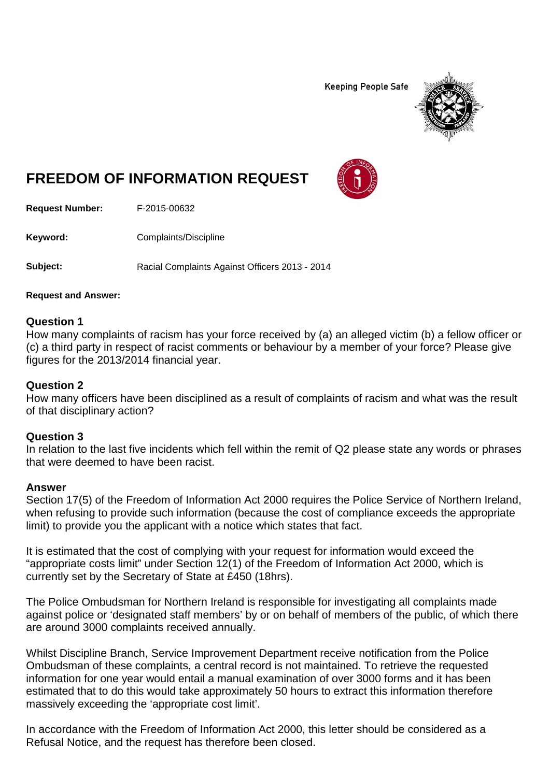**Keeping People Safe** 



# **FREEDOM OF INFORMATION REQUEST**

**Request Number:** F-2015-00632

**Keyword:** Complaints/Discipline

**Subject:** Racial Complaints Against Officers 2013 - 2014

#### **Request and Answer:**

## **Question 1**

How many complaints of racism has your force received by (a) an alleged victim (b) a fellow officer or (c) a third party in respect of racist comments or behaviour by a member of your force? Please give figures for the 2013/2014 financial year.

## **Question 2**

How many officers have been disciplined as a result of complaints of racism and what was the result of that disciplinary action?

## **Question 3**

In relation to the last five incidents which fell within the remit of Q2 please state any words or phrases that were deemed to have been racist.

#### **Answer**

Section 17(5) of the Freedom of Information Act 2000 requires the Police Service of Northern Ireland, when refusing to provide such information (because the cost of compliance exceeds the appropriate limit) to provide you the applicant with a notice which states that fact.

It is estimated that the cost of complying with your request for information would exceed the "appropriate costs limit" under Section 12(1) of the Freedom of Information Act 2000, which is currently set by the Secretary of State at £450 (18hrs).

The Police Ombudsman for Northern Ireland is responsible for investigating all complaints made against police or 'designated staff members' by or on behalf of members of the public, of which there are around 3000 complaints received annually.

Whilst Discipline Branch, Service Improvement Department receive notification from the Police Ombudsman of these complaints, a central record is not maintained. To retrieve the requested information for one year would entail a manual examination of over 3000 forms and it has been estimated that to do this would take approximately 50 hours to extract this information therefore massively exceeding the 'appropriate cost limit'.

In accordance with the Freedom of Information Act 2000, this letter should be considered as a Refusal Notice, and the request has therefore been closed.